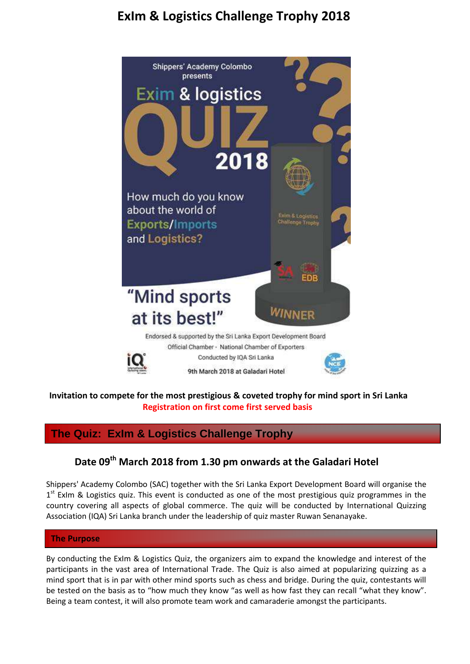# **ExIm & Logistics Challenge Trophy 2018**



### **Invitation to compete for the most prestigious & coveted trophy for mind sport in Sri Lanka Registration on first come first served basis**

## **The Quiz: ExIm & Logistics Challenge Trophy**

# **Date 09th March 2018 from 1.30 pm onwards at the Galadari Hotel**

Shippers' Academy Colombo (SAC) together with the Sri Lanka Export Development Board will organise the 1<sup>st</sup> ExIm & Logistics quiz. This event is conducted as one of the most prestigious quiz programmes in the country covering all aspects of global commerce. The quiz will be conducted by International Quizzing Association (IQA) Sri Lanka branch under the leadership of quiz master Ruwan Senanayake.

### **The Purpose**

By conducting the ExIm & Logistics Quiz, the organizers aim to expand the knowledge and interest of the participants in the vast area of International Trade. The Quiz is also aimed at popularizing quizzing as a mind sport that is in par with other mind sports such as chess and bridge. During the quiz, contestants will be tested on the basis as to "how much they know "as well as how fast they can recall "what they know". Being a team contest, it will also promote team work and camaraderie amongst the participants.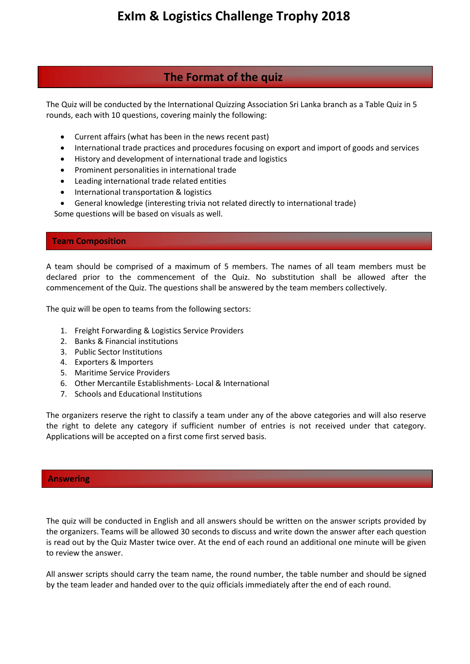## **The Format of the quiz**

The Quiz will be conducted by the International Quizzing Association Sri Lanka branch as a Table Quiz in 5 rounds, each with 10 questions, covering mainly the following:

- Current affairs (what has been in the news recent past)
- International trade practices and procedures focusing on export and import of goods and services
- History and development of international trade and logistics
- Prominent personalities in international trade
- Leading international trade related entities
- International transportation & logistics
- General knowledge (interesting trivia not related directly to international trade)

Some questions will be based on visuals as well.

### **Team Composition**

֦

A team should be comprised of a maximum of 5 members. The names of all team members must be declared prior to the commencement of the Quiz. No substitution shall be allowed after the commencement of the Quiz. The questions shall be answered by the team members collectively.

The quiz will be open to teams from the following sectors:

- 1. Freight Forwarding & Logistics Service Providers
- 2. Banks & Financial institutions
- 3. Public Sector Institutions
- 4. Exporters & Importers
- 5. Maritime Service Providers
- 6. Other Mercantile Establishments- Local & International
- 7. Schools and Educational Institutions

The organizers reserve the right to classify a team under any of the above categories and will also reserve the right to delete any category if sufficient number of entries is not received under that category. Applications will be accepted on a first come first served basis.

### **Answering**

The quiz will be conducted in English and all answers should be written on the answer scripts provided by the organizers. Teams will be allowed 30 seconds to discuss and write down the answer after each question is read out by the Quiz Master twice over. At the end of each round an additional one minute will be given to review the answer.

All answer scripts should carry the team name, the round number, the table number and should be signed by the team leader and handed over to the quiz officials immediately after the end of each round.